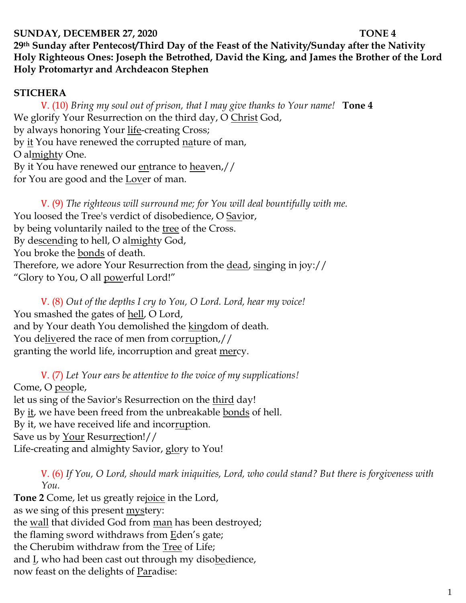## **SUNDAY, DECEMBER 27, 2020** TONE 4

**29th Sunday after Pentecost/Third Day of the Feast of the Nativity/Sunday after the Nativity Holy Righteous Ones: Joseph the Betrothed, David the King, and James the Brother of the Lord Holy Protomartyr and Archdeacon Stephen**

## **STICHERA**

V. (10) *Bring my soul out of prison, that I may give thanks to Your name!* **Tone 4** We glorify Your Resurrection on the third day, O Christ God, by always honoring Your life-creating Cross; by it You have renewed the corrupted nature of man, O almighty One. By it You have renewed our entrance to heaven,// for You are good and the Lover of man.

V. (9) *The righteous will surround me; for You will deal bountifully with me.*  You loosed the Tree's verdict of disobedience, O Savior, by being voluntarily nailed to the tree of the Cross. By descending to hell, O almighty God, You broke the bonds of death. Therefore, we adore Your Resurrection from the dead, singing in joy:// "Glory to You, O all powerful Lord!"

V. (8) *Out of the depths I cry to You, O Lord. Lord, hear my voice!*  You smashed the gates of hell, O Lord, and by Your death You demolished the kingdom of death. You delivered the race of men from corruption,// granting the world life, incorruption and great mercy.

V. (7) *Let Your ears be attentive to the voice of my supplications!* Come, O people, let us sing of the Savior's Resurrection on the third day! By it, we have been freed from the unbreakable bonds of hell. By it, we have received life and incorruption. Save us by Your Resurrection!// Life-creating and almighty Savior, glory to You!

V. (6) *If You, O Lord, should mark iniquities, Lord, who could stand? But there is forgiveness with You.* 

**Tone 2** Come, let us greatly rejoice in the Lord, as we sing of this present **mystery**: the wall that divided God from man has been destroyed; the flaming sword withdraws from Eden's gate; the Cherubim withdraw from the Tree of Life; and L, who had been cast out through my disobedience, now feast on the delights of Paradise: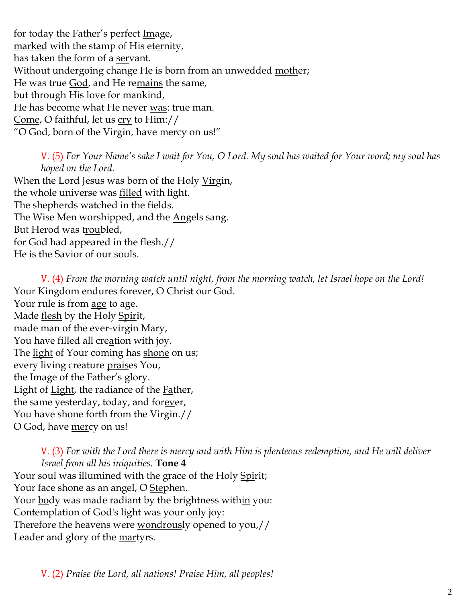for today the Father's perfect Image, marked with the stamp of His eternity, has taken the form of a servant. Without undergoing change He is born from an unwedded mother; He was true God, and He remains the same, but through His love for mankind, He has become what He never was: true man. Come, O faithful, let us cry to Him:// "O God, born of the Virgin, have mercy on us!"

V. (5) *For Your Name's sake I wait for You, O Lord. My soul has waited for Your word; my soul has hoped on the Lord.*  When the Lord Jesus was born of the Holy Virgin, the whole universe was filled with light. The shepherds watched in the fields. The Wise Men worshipped, and the Angels sang. But Herod was troubled,

for God had appeared in the flesh.//

He is the Savior of our souls.

V. (4) *From the morning watch until night, from the morning watch, let Israel hope on the Lord!*  Your Kingdom endures forever, O Christ our God. Your rule is from age to age. Made flesh by the Holy Spirit, made man of the ever-virgin Mary, You have filled all creation with joy. The <u>light</u> of Your coming has shone on us; every living creature praises You, the Image of the Father's glory. Light of Light, the radiance of the Father, the same yesterday, today, and forever, You have shone forth from the Virgin.// O God, have mercy on us!

V. (3) *For with the Lord there is mercy and with Him is plenteous redemption, and He will deliver Israel from all his iniquities.* **Tone 4** Your soul was illumined with the grace of the Holy Spirit; Your face shone as an angel, O Stephen. Your body was made radiant by the brightness within you:

Contemplation of God's light was your only joy:

Therefore the heavens were wondrously opened to you,// Leader and glory of the <u>martyrs</u>.

V. (2) *Praise the Lord, all nations! Praise Him, all peoples!*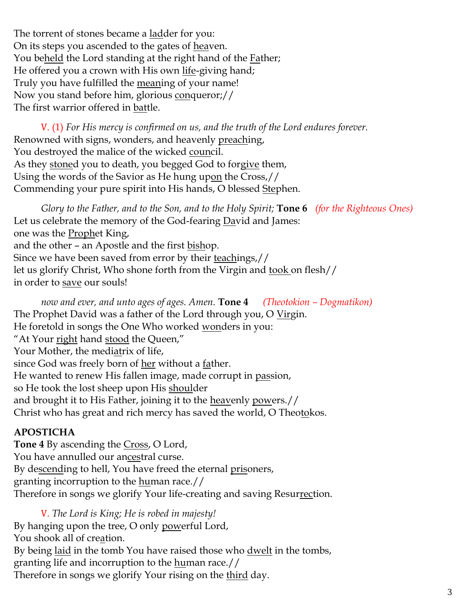The torrent of stones became a <u>lad</u>der for you: On its steps you ascended to the gates of heaven. You beheld the Lord standing at the right hand of the Father; He offered you a crown with His own life-giving hand; Truly you have fulfilled the meaning of your name! Now you stand before him, glorious conqueror;// The first warrior offered in battle.

V. (1) *For His mercy is confirmed on us, and the truth of the Lord endures forever.* Renowned with signs, wonders, and heavenly preaching, You destroyed the malice of the wicked council. As they stoned you to death, you begged God to forgive them, Using the words of the Savior as He hung upon the Cross,// Commending your pure spirit into His hands, O blessed Stephen.

*Glory to the Father, and to the Son, and to the Holy Spirit;* **Tone 6** *(for the Righteous Ones)* Let us celebrate the memory of the God-fearing David and James: one was the **Prophet King**, and the other – an Apostle and the first bishop. Since we have been saved from error by their teachings,// let us glorify Christ, Who shone forth from the Virgin and took on flesh// in order to save our souls!

*now and ever, and unto ages of ages. Amen.* **Tone 4** *(Theotokion – Dogmatikon)* The Prophet David was a father of the Lord through you, O Virgin. He foretold in songs the One Who worked wonders in you: "At Your right hand stood the Queen," Your Mother, the mediatrix of life, since God was freely born of her without a father. He wanted to renew His fallen image, made corrupt in passion, so He took the lost sheep upon His shoulder and brought it to His Father, joining it to the <u>heavenly powers.</u>// Christ who has great and rich mercy has saved the world, O Theotokos.

# **APOSTICHA**

**Tone 4** By ascending the Cross, O Lord, You have annulled our ancestral curse. By descending to hell, You have freed the eternal prisoners, granting incorruption to the human race.// Therefore in songs we glorify Your life-creating and saving Resurrection.

V. *The Lord is King; He is robed in majesty!*  By hanging upon the tree, O only powerful Lord, You shook all of creation. By being <u>laid</u> in the tomb You have raised those who <u>dwelt</u> in the tombs, granting life and incorruption to the human race.// Therefore in songs we glorify Your rising on the <u>third</u> day.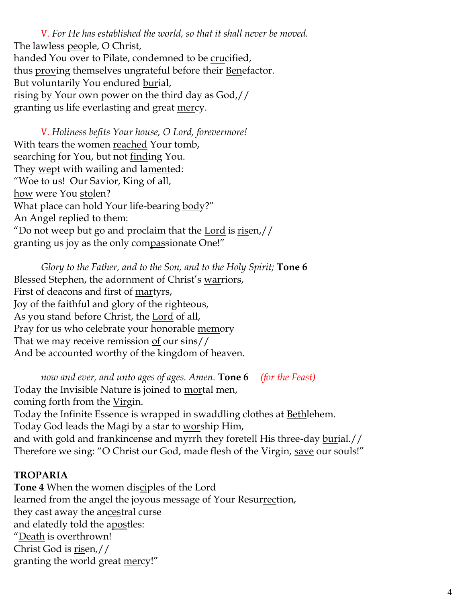V. *For He has established the world, so that it shall never be moved.* The lawless people, O Christ, handed You over to Pilate, condemned to be crucified, thus proving themselves ungrateful before their Benefactor. But voluntarily You endured burial, rising by Your own power on the third day as God,// granting us life everlasting and great mercy.

V. *Holiness befits Your house, O Lord, forevermore!*  With tears the women reached Your tomb, searching for You, but not <u>finding</u> You. They <u>wept</u> with wailing and la<u>ment</u>ed: "Woe to us! Our Savior, King of all, how were You stolen? What place can hold Your life-bearing body?" An Angel replied to them: "Do not weep but go and proclaim that the Lord is  $risen$ // granting us joy as the only compassionate One!"

*Glory to the Father, and to the Son, and to the Holy Spirit;* **Tone 6** Blessed Stephen, the adornment of Christ's warriors, First of deacons and first of <u>martyrs</u>, Joy of the faithful and glory of the righteous, As you stand before Christ, the <u>Lord</u> of all, Pray for us who celebrate your honorable memory That we may receive remission  $of$  our sins// And be accounted worthy of the kingdom of heaven.

*now and ever, and unto ages of ages. Amen.* **Tone 6** *(for the Feast)*  Today the Invisible Nature is joined to mortal men, coming forth from the Virgin. Today the Infinite Essence is wrapped in swaddling clothes at **Bethlehem**. Today God leads the Magi by a star to worship Him, and with gold and frankincense and myrrh they foretell His three-day burial.// Therefore we sing: "O Christ our God, made flesh of the Virgin, <u>save</u> our souls!"

## **TROPARIA**

**Tone 4** When the women disciples of the Lord learned from the angel the joyous message of Your Resurrection, they cast away the ancestral curse and elatedly told the apostles: "Death is overthrown! Christ God is risen,// granting the world great mercy!"